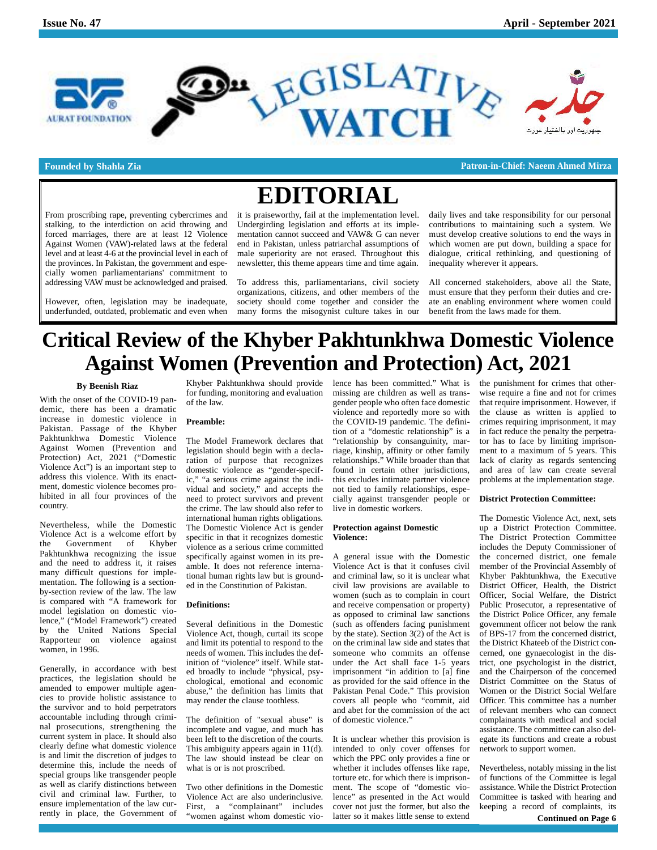

**Founded by Shahla Zia Patron-in-Chief: Naeem Ahmed Mirza**

## **EDITORIAL**

From proscribing rape, preventing cybercrimes and stalking, to the interdiction on acid throwing and forced marriages, there are at least 12 Violence Against Women (VAW)-related laws at the federal level and at least 4-6 at the provincial level in each of the provinces. In Pakistan, the government and espe cially women parliamentarians' commitment to addressing VAW must be acknowledged and praised.

However, often, legislation may be inadequate, underfunded, outdated, problematic and even when it is praiseworthy, fail at the implementation level. Undergirding legislation and efforts at its imple mentation cannot succeed and VAW& G can never end in Pakistan, unless patriarchal assumptions of male superiority are not erased. Throughout this newsletter, this theme appears time and time again.

To address this, parliamentarians, civil society organizations, citizens, and other members of the society should come together and consider the many forms the misogynist culture takes in our daily lives and take responsibility for our personal contributions to maintaining such a system. We must develop creative solutions to end the ways in which women are put down, building a space for dialogue, critical rethinking, and questioning of inequality wherever it appears.

All concerned stakeholders, above all the State, must ensure that they perform their duties and cre ate an enabling environment where women could benefit from the laws made for them.

## **Critical Review of the Khyber Pakhtunkhwa Domestic Violence Against Women (Prevention and Protection) Act, 2021**

#### **By Beenish Riaz**

With the onset of the COVID-19 pan demic, there has been a dramatic increase in domestic violence in Pakistan. Passage of the Khyber Pakhtunkhwa Domestic Violence Against Women (Prevention and Protection) Act, 2021 ("Domestic Violence Act") is an important step to address this violence. With its enact ment, domestic violence becomes pro hibited in all four provinces of the country.

Nevertheless, while the Domestic Violence Act is a welcome effort by<br>the Government of Khyber the Government Pakhtunkhwa recognizing the issue and the need to address it, it raises many difficult questions for imple mentation. The following is a sectionby-section review of the law. The law is compared with "A framework for model legislation on domestic violence," ("Model Framework") created by the United Nations Special Rapporteur on violence against women, in 1996.

Generally, in accordance with best practices, the legislation should be amended to empower multiple agen cies to provide holistic assistance to the survivor and to hold perpetrators accountable including through crimi nal prosecutions, strengthening the current system in place. It should also clearly define what domestic violence is and limit the discretion of judges to determine this, include the needs of special groups like transgender people as well as clarify distinctions between civil and criminal law. Further, to ensure implementation of the law currently in place, the Government of

for funding, monitoring and evaluation of the law.

### **Preamble:**

The Model Framework declares that legislation should begin with a declaration of purpose that recognizes domestic violence as "gender-specific," "a serious crime against the indi vidual and society," and accepts the need to protect survivors and prevent the crime. The law should also refer to international human rights obligations. The Domestic Violence Act is gender specific in that it recognizes domestic violence as a serious crime committed specifically against women in its pre amble. It does not reference international human rights law but is ground ed in the Constitution of Pakistan.

#### **Definitions:**

Several definitions in the Domestic Violence Act, though, curtail its scope and limit its potential to respond to the needs of women. This includes the definition of "violence" itself. While stat ed broadly to include "physical, psy chological, emotional and economic abuse," the definition has limits that may render the clause toothless.

The definition of "sexual abuse" is incomplete and vague, and much has been left to the discretion of the courts. This ambiguity appears again in 11(d). The law should instead be clear on what is or is not proscribed.

Two other definitions in the Domestic Violence Act are also underinclusive. First, a "complainant" includes "women against whom domestic vio-

Khyber Pakhtunkhwa should provide lence has been committed." What is the missing are children as well as trans gender people who often face domestic violence and reportedly more so with the COVID-19 pandemic. The definition of a "domestic relationship" is a "relationship by consanguinity, marriage, kinship, affinity or other family relationships." While broader than that found in certain other jurisdictions, this excludes intimate partner violence not tied to family relationships, espe cially against transgender people or live in domestic workers.

#### **Protection against Domestic Violence:**

A general issue with the Domestic Violence Act is that it confuses civil and criminal law, so it is unclear what civil law provisions are available to women (such as to complain in court and receive compensation or property) as opposed to criminal law sanctions (such as offenders facing punishment by the state). Section  $3(2)$  of the Act is on the criminal law side and states that someone who commits an offense under the Act shall face 1-5 years imprisonment "in addition to [a] fine as provided for the said offence in the Pakistan Penal Code." This provision covers all people who "commit, aid and abet for the commission of the act of domestic violence."

It is unclear whether this provision is intended to only cover offenses for which the PPC only provides a fine or whether it includes offenses like rape, torture etc. for which there is imprison ment. The scope of "domestic violence" as presented in the Act would cover not just the former, but also the latter so it makes little sense to extend

the punishment for crimes that other wise require a fine and not for crimes that require imprisonment. However, if the clause as written is applied to crimes requiring imprisonment, it may in fact reduce the penalty the perpetrator has to face by limiting imprison ment to a maximum of 5 years. This lack of clarity as regards sentencing and area of law can create several problems at the implementation stage.

#### **District Protection Committee:**

The Domestic Violence Act, next, sets up a District Protection Committee. The District Protection Committee includes the Deputy Commissioner of the concerned district, one female member of the Provincial Assembly of Khyber Pakhtunkhwa, the Executive District Officer, Health, the District Officer, Social Welfare, the District Public Prosecutor, a representative of the District Police Officer, any female government officer not below the rank of BPS-17 from the concerned district, the District Khateeb of the District con cerned, one gynaecologist in the district, one psychologist in the district, and the Chairperson of the concerned District Committee on the Status of Women or the District Social Welfare Officer. This committee has a number of relevant members who can connect complainants with medical and social assistance. The committee can also del egate its functions and create a robust network to support women.

Nevertheless, notably missing in the list of functions of the Committee is legal assistance. While the District Protection Committee is tasked with hearing and keeping a record of complaints, its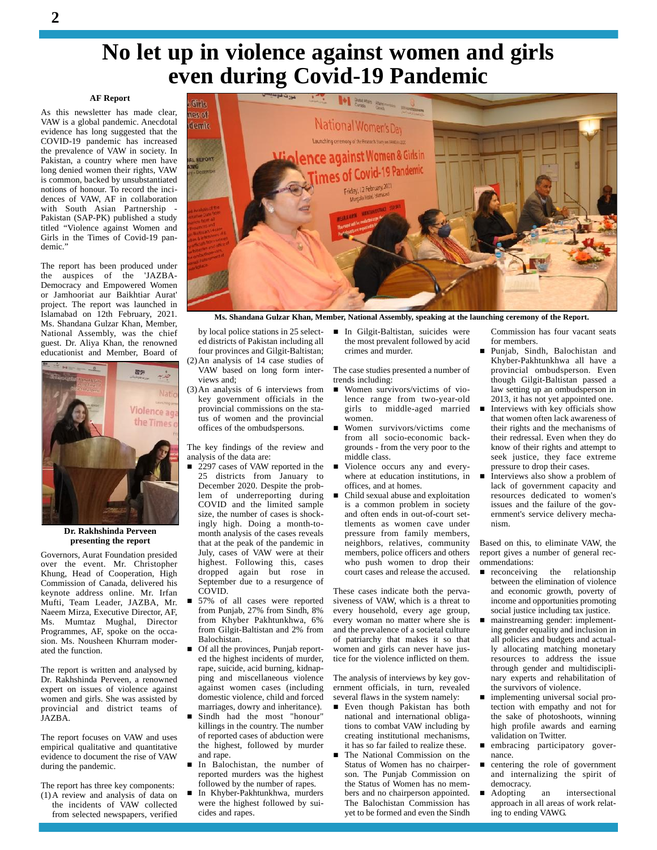## **No let up in violence against women and girls even during Covid-19 Pandemic**

### **AF Report**

As this newsletter has made clear, ness of VAW is a global pandemic. Anecdotal evidence has long suggested that the COVID-19 pandemic has increased the prevalence of VAW in society. In Pakistan, a country where men have long denied women their rights, VAW is common, backed by unsubstantiated notions of honour. To record the inci dences of VAW, AF in collaboration with South Asian Partnership - Pakistan (SAP-PK) published a study titled "Violence against Women and Girls in the Times of Covid-19 pan demic."

The report has been produced under the auspices of the 'JAZBA-Democracy and Empowered Women or Jamhooriat aur Baikhtiar Aurat' project. The report was launched in Islamabad on 12th February, 2021. Ms. Shandana Gulzar Khan, Member, National Assembly, was the chief guest. Dr. Aliya Khan, the renowned educationist and Member, Board of



**Dr. Rakhshinda Perveen presenting the report**

Governors, Aurat Foundation presided over the event. Mr. Christopher Khung, Head of Cooperation, High Commission of Canada, delivered his keynote address online. Mr. Irfan Mufti, Team Leader, JAZBA, Mr. Naeem Mirza, Executive Director, AF, Ms. Mumtaz Mughal, Director Programmes, AF, spoke on the occa sion. Ms. Nousheen Khurram moder ated the function.

The report is written and analysed by Dr. Rakhshinda Perveen, a renowned expert on issues of violence against women and girls. She was assisted by provincial and district teams of JAZBA.

The report focuses on VAW and uses empirical qualitative and quantitative evidence to document the rise of VAW during the pandemic.

The report has three key components: (1)A review and analysis of data on the incidents of VAW collected from selected newspapers, verified



**Ms. Shandana Gulzar Khan, Member, National Assembly, speaking at the launching ceremony of the Report.**

by local police stations in 25 select ed districts of Pakistan including all four provinces and Gilgit-Baltistan;

- (2)An analysis of 14 case studies of VAW based on long form inter views and;
- (3)An analysis of 6 interviews from key government officials in the provincial commissions on the status of women and the provincial offices of the ombudspersons.

The key findings of the review and analysis of the data are:

- 2297 cases of VAW reported in the 25 districts from January to December 2020. Despite the problem of underreporting during COVID and the limited sample size, the number of cases is shockingly high. Doing a month-tomonth analysis of the cases reveals that at the peak of the pandemic in July, cases of VAW were at their highest. Following this, cases dropped again but rose in September due to a resurgence of COVID.
- 57% of all cases were reported from Punjab, 27% from Sindh, 8% from Khyber Pakhtunkhwa, 6% from Gilgit-Baltistan and 2% from Balochistan.
- Of all the provinces, Punjab report ed the highest incidents of murder, rape, suicide, acid burning, kidnap ping and miscellaneous violence against women cases (including domestic violence, child and forced marriages, dowry and inheritance).
- Sindh had the most "honour" killings in the country. The number of reported cases of abduction were the highest, followed by murder and rape.
- In Balochistan, the number of reported murders was the highest followed by the number of rapes.
- In Khyber-Pakhtunkhwa, murders were the highest followed by sui cides and rapes.

■ In Gilgit-Baltistan, suicides were the most prevalent followed by acid crimes and murder.

The case studies presented a number of trends including:

- Women survivors/victims of violence range from two-year-old girls to middle-aged married women.
- Women survivors/victims come from all socio-economic back grounds - from the very poor to the middle class.
- Violence occurs any and every where at education institutions, in offices, and at homes.
- Child sexual abuse and exploitation is a common problem in society and often ends in out-of-court settlements as women cave under pressure from family members, neighbors, relatives, community members, police officers and others who push women to drop their ommendations:<br>court cases and release the accused.  $\blacksquare$  reconceiving court cases and release the accused.

These cases indicate both the perva siveness of VAW, which is a threat to every household, every age group, every woman no matter where she is and the prevalence of a societal culture of patriarchy that makes it so that women and girls can never have justice for the violence inflicted on them.

The analysis of interviews by key gov ernment officials, in turn, revealed several flaws in the system namely:

- **Even** though Pakistan has both national and international obligations to combat VAW including by creating institutional mechanisms, it has so far failed to realize these.
- The National Commission on the Status of Women has no chairper son. The Punjab Commission on the Status of Women has no mem bers and no chairperson appointed. The Balochistan Commission has yet to be formed and even the Sindh

Commission has four vacant seats for members.

- Punjab, Sindh, Balochistan and Khyber-Pakhtunkhwa all have a provincial ombudsperson. Even though Gilgit-Baltistan passed a law setting up an ombudsperson in 2013, it has not yet appointed one.
- Interviews with key officials show that women often lack awareness of their rights and the mechanisms of their redressal. Even when they do know of their rights and attempt to seek justice, they face extreme pressure to drop their cases.
- Interviews also show a problem of lack of government capacity and resources dedicated to women's issues and the failure of the gov ernment's service delivery mecha nism.

Based on this, to eliminate VAW, the report gives a number of general rec ommendations:

- the relationship between the elimination of violence and economic growth, poverty of income and opportunities promoting social justice including tax justice.
- mainstreaming gender: implementing gender equality and inclusion in all policies and budgets and actually allocating matching monetary resources to address the issue through gender and multidiscipli nary experts and rehabilitation of the survivors of violence.
- implementing universal social protection with empathy and not for the sake of photoshoots, winning high profile awards and earning validation on Twitter.
- embracing participatory gover nance.
- centering the role of government and internalizing the spirit of democracy.
- Adopting an intersectional approach in all areas of work relating to ending VAWG.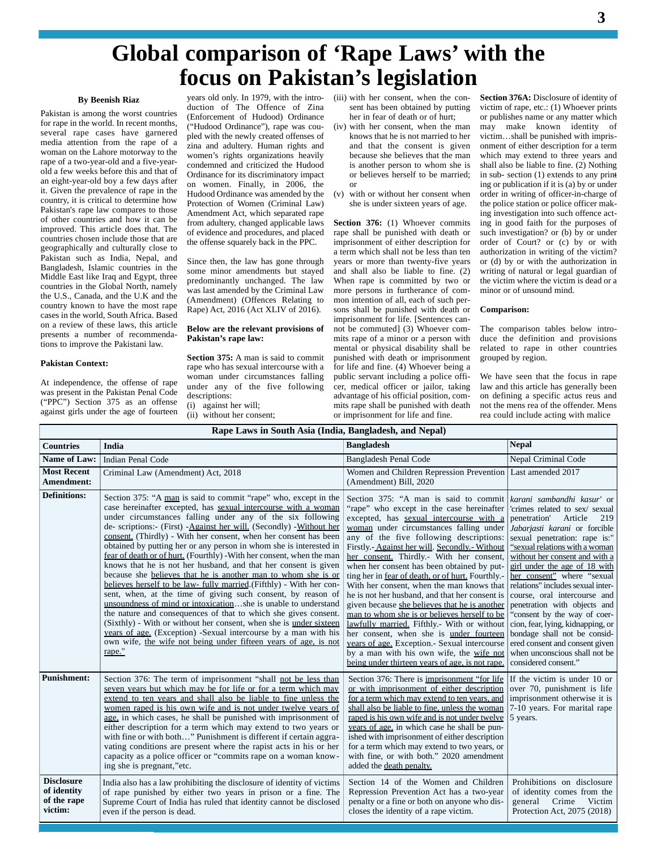### **Global comparison of 'Rape Laws' with the focus on Pakistan's legislation**

#### **By Beenish Riaz**

Pakistan is among the worst countries for rape in the world. In recent months, several rape cases have garnered media attention from the rape of a woman on the Lahore motorway to the rape of a two-year-old and a five-yearold a few weeks before this and that of an eight-year-old boy a few days after it. Given the prevalence of rape in the country, it is critical to determine how Pakistan's rape law compares to those of other countries and how it can be improved. This article does that. The countries chosen include those that are geographically and culturally close to Pakistan such as India, Nepal, and Bangladesh, Islamic countries in the Middle East like Iraq and Egypt, three countries in the Global North, namely the U.S., Canada, and the U.K and the country known to have the most rape cases in the world, South Africa. Based on a review of these laws, this article presents a number of recommendations to improve the Pakistani law.

#### **Pakistan Context:**

At independence, the offense of rape was present in the Pakistan Penal Code ("PPC") Section 375 as an offense against girls under the age of fourteen

years old only. In 1979, with the intro duction of The Offence of Zina (Enforcement of Hudood) Ordinance ("Hudood Ordinance"), rape was cou pled with the newly created offenses of zina and adultery. Human rights and women's rights organizations heavily condemned and criticized the Hudood Ordinance for its discriminatory impact on women. Finally, in 2006, the Hudood Ordinance was amended by the Protection of Women (Criminal Law) Amendment Act, which separated rape from adultery, changed applicable laws of evidence and procedures, and placed the offense squarely back in the PPC.

Since then, the law has gone through some minor amendments but stayed predominantly unchanged. The law was last amended by the Criminal Law (Amendment) (Offences Relating to Rape) Act, 2016 (Act XLIV of 2016).

#### **Below are the relevant provisions of Pakistan's rape law:**

**Section 375:** A man is said to commit rape who has sexual intercourse with a woman under circumstances falling under any of the five following descriptions: (i) against her will;

(iii) with her consent, when the con sent has been obtained by putting her in fear of death or of hurt;

- (iv) with her consent, when the man knows that he is not married to her and that the consent is given because she believes that the man or believes herself to be married; or
- (v) with or without her consent when she is under sixteen years of age.

**Section 376:** (1) Whoever commits rape shall be punished with death or imprisonment of either description for a term which shall not be less than ten years or more than twenty-five years and shall also be liable to fine. (2) When rape is committed by two or more persons in furtherance of com mon intention of all, each of such per sons shall be punished with death or imprisonment for life. [Sentences can not be commuted] (3) Whoever com mits rape of a minor or a person with mental or physical disability shall be punished with death or imprisonment for life and fine. (4) Whoever being a public servant including a police offi cer, medical officer or jailor, taking advantage of his official position, com mits rape shall be punished with death

is another person to whom she is shall also be liable to fine. (2) Nothing or believes herself to be married; in sub-section  $(1)$  extends to any print **Section 376A:** Disclosure of identity of victim of rape, etc.: (1) Whoever prints or publishes name or any matter which may make known identity of<br>victim...shall be punished with impris-<br>onment of either description for a term<br>which may extend to three years and<br>shall also be liable to fine. (2) Nothing<br>in sub- section (1) extends to any pr victim…shall be punished with impris onment of either description for a term which may extend to three years and shall also be liable to fine. (2) Nothing ing or publication if it is (a) by or under order in writing of officer-in-charge of the police station or police officer making investigation into such offence acting in good faith for the purposes of such investigation? or (b) by or under order of Court? or (c) by or with authorization in writing of the victim? or (d) by or with the authorization in writing of natural or legal guardian of the victim where the victim is dead or a minor or of unsound mind.

#### **Comparison:**

The comparison tables below intro duce the definition and provisions related to rape in other countries grouped by region.

We have seen that the focus in rape law and this article has generally been on defining a specific actus reus and not the mens rea of the offender. Mens rea could include acting with malice

| Rape Laws in South Asia (India, Bangladesh, and Nepal)     |                                                                                                                                                                                                                                                                                                                                                                                                                                                                                                                                                                                                                                                                                                                                                                                                                                                                                                                                                                                                                                                                                                                                           |                                                                                                                                                                                                                                                                                                                                                                                                                                                                                                                                                                                                                                                                                                                                                                                                                                                                                          |                                                                                                                                                                                                                                                                                                                                                                                                                                                                                                                                                                            |  |  |  |
|------------------------------------------------------------|-------------------------------------------------------------------------------------------------------------------------------------------------------------------------------------------------------------------------------------------------------------------------------------------------------------------------------------------------------------------------------------------------------------------------------------------------------------------------------------------------------------------------------------------------------------------------------------------------------------------------------------------------------------------------------------------------------------------------------------------------------------------------------------------------------------------------------------------------------------------------------------------------------------------------------------------------------------------------------------------------------------------------------------------------------------------------------------------------------------------------------------------|------------------------------------------------------------------------------------------------------------------------------------------------------------------------------------------------------------------------------------------------------------------------------------------------------------------------------------------------------------------------------------------------------------------------------------------------------------------------------------------------------------------------------------------------------------------------------------------------------------------------------------------------------------------------------------------------------------------------------------------------------------------------------------------------------------------------------------------------------------------------------------------|----------------------------------------------------------------------------------------------------------------------------------------------------------------------------------------------------------------------------------------------------------------------------------------------------------------------------------------------------------------------------------------------------------------------------------------------------------------------------------------------------------------------------------------------------------------------------|--|--|--|
| <b>Countries</b>                                           | India                                                                                                                                                                                                                                                                                                                                                                                                                                                                                                                                                                                                                                                                                                                                                                                                                                                                                                                                                                                                                                                                                                                                     | <b>Bangladesh</b>                                                                                                                                                                                                                                                                                                                                                                                                                                                                                                                                                                                                                                                                                                                                                                                                                                                                        | <b>Nepal</b>                                                                                                                                                                                                                                                                                                                                                                                                                                                                                                                                                               |  |  |  |
| Name of Law:                                               | <b>Indian Penal Code</b>                                                                                                                                                                                                                                                                                                                                                                                                                                                                                                                                                                                                                                                                                                                                                                                                                                                                                                                                                                                                                                                                                                                  | <b>Bangladesh Penal Code</b>                                                                                                                                                                                                                                                                                                                                                                                                                                                                                                                                                                                                                                                                                                                                                                                                                                                             | Nepal Criminal Code                                                                                                                                                                                                                                                                                                                                                                                                                                                                                                                                                        |  |  |  |
| <b>Most Recent</b><br>Amendment:                           | Criminal Law (Amendment) Act, 2018                                                                                                                                                                                                                                                                                                                                                                                                                                                                                                                                                                                                                                                                                                                                                                                                                                                                                                                                                                                                                                                                                                        | Women and Children Repression Prevention   Last amended 2017<br>(Amendment) Bill, 2020                                                                                                                                                                                                                                                                                                                                                                                                                                                                                                                                                                                                                                                                                                                                                                                                   |                                                                                                                                                                                                                                                                                                                                                                                                                                                                                                                                                                            |  |  |  |
| <b>Definitions:</b>                                        | Section 375: "A man is said to commit "rape" who, except in the<br>case hereinafter excepted, has sexual intercourse with a woman<br>under circumstances falling under any of the six following<br>de- scriptions:- (First) - Against her will. (Secondly) - Without her<br>consent. (Thirdly) - With her consent, when her consent has been<br>obtained by putting her or any person in whom she is interested in<br>fear of death or of hurt. (Fourthly) - With her consent, when the man<br>knows that he is not her husband, and that her consent is given<br>because she believes that he is another man to whom she is or<br>believes herself to be law- fully married. (Fifthly) - With her con-<br>sent, when, at the time of giving such consent, by reason of<br>unsoundness of mind or intoxicationshe is unable to understand<br>the nature and consequences of that to which she gives consent.<br>(Sixthly) - With or without her consent, when she is <u>under sixteen</u><br>years of age. (Exception) -Sexual intercourse by a man with his<br>own wife, the wife not being under fifteen years of age, is not<br>rape." | Section 375: "A man is said to commit karani sambandhi kasur' or<br>"rape" who except in the case hereinafter<br>excepted, has sexual intercourse with a<br>woman under circumstances falling under<br>any of the five following descriptions:<br>Firstly.- Against her will. Secondly.- Without<br>her consent. Thirdly.- With her consent,<br>when her consent has been obtained by put-<br>ting her in fear of death, or of hurt. Fourthly.-<br>With her consent, when the man knows that<br>he is not her husband, and that her consent is<br>given because she believes that he is another<br>man to whom she is or believes herself to be<br>lawfully married. Fifthly.- With or without<br>her consent, when she is under fourteen<br>years of age. Exception.- Sexual intercourse<br>by a man with his own wife, the wife not<br>being under thirteen years of age, is not rape. | 'crimes related to sex/ sexual<br>penetration'<br>Article<br>219<br>Jabarjasti karani or forcible<br>sexual penetration: rape is:"<br>"sexual relations with a woman<br>without her consent and with a<br>girl under the age of 18 with<br>her consent" where "sexual<br>relations" includes sexual inter-<br>course, oral intercourse and<br>penetration with objects and<br>"consent by the way of coer-<br>cion, fear, lying, kidnapping, or<br>bondage shall not be consid-<br>ered consent and consent given<br>when unconscious shall not be<br>considered consent." |  |  |  |
| <b>Punishment:</b>                                         | Section 376: The term of imprisonment "shall not be less than<br>seven years but which may be for life or for a term which may<br>extend to ten years and shall also be liable to fine unless the<br>women raped is his own wife and is not under twelve years of<br>age, in which cases, he shall be punished with imprisonment of<br>either description for a term which may extend to two years or<br>with fine or with both" Punishment is different if certain aggra-<br>vating conditions are present where the rapist acts in his or her<br>capacity as a police officer or "commits rape on a woman know-<br>ing she is pregnant,"etc.                                                                                                                                                                                                                                                                                                                                                                                                                                                                                            | Section 376: There is imprisonment "for life<br>or with imprisonment of either description<br>for a term which may extend to ten years, and<br>shall also be liable to fine, unless the woman<br>raped is his own wife and is not under twelve<br>years of age, in which case he shall be pun-<br>ished with imprisonment of either description<br>for a term which may extend to two years, or<br>with fine, or with both." 2020 amendment<br>added the death penalty.                                                                                                                                                                                                                                                                                                                                                                                                                  | If the victim is under 10 or<br>over 70, punishment is life<br>imprisonment otherwise it is<br>7-10 years. For marital rape<br>5 years.                                                                                                                                                                                                                                                                                                                                                                                                                                    |  |  |  |
| <b>Disclosure</b><br>of identity<br>of the rape<br>victim: | India also has a law prohibiting the disclosure of identity of victims<br>of rape punished by either two years in prison or a fine. The<br>Supreme Court of India has ruled that identity cannot be disclosed<br>even if the person is dead.                                                                                                                                                                                                                                                                                                                                                                                                                                                                                                                                                                                                                                                                                                                                                                                                                                                                                              | Section 14 of the Women and Children<br>Repression Prevention Act has a two-year<br>penalty or a fine or both on anyone who dis-<br>closes the identity of a rape victim.                                                                                                                                                                                                                                                                                                                                                                                                                                                                                                                                                                                                                                                                                                                | Prohibitions on disclosure<br>of identity comes from the<br>general Crime Victim<br>Protection Act, 2075 (2018)                                                                                                                                                                                                                                                                                                                                                                                                                                                            |  |  |  |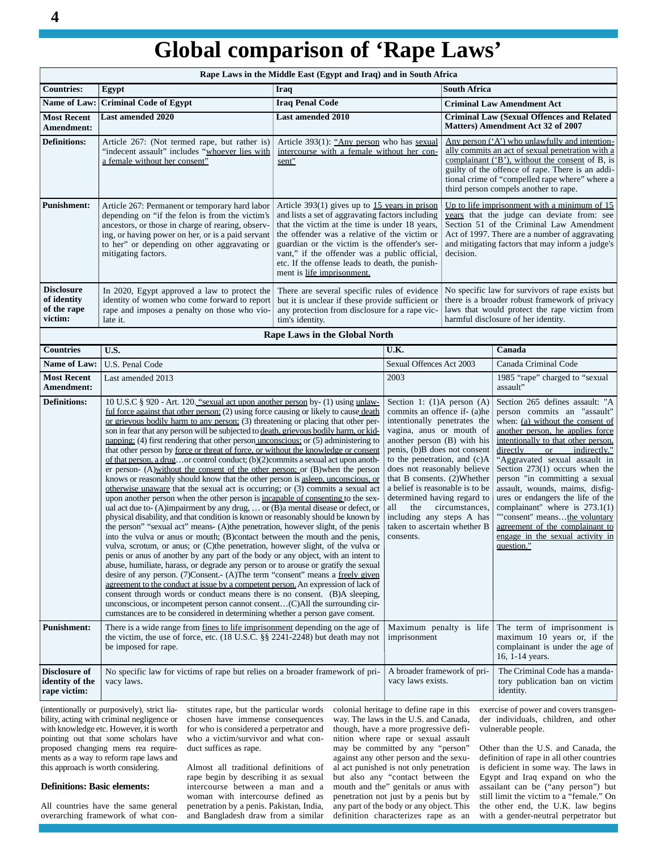## **Global comparison of 'Rape Laws'**

|                                                            |                                                                                                                                                                                                                                                                                                                                                                                                                                                                                                                                                                                                                                                                                                                                                                                                                                                                                                                                                                                                                                                                                                                                                                                                                                                                                                                                                                                                                                                                                                                                                                                                                                                                                                                                                                                                                                                                                                                                                                                                       | Rape Laws in the Middle East (Egypt and Iraq) and in South Africa                                                                                                                                                                                                                                                                                                                        |                                                                                                                                                                                                                                                                                                                                                                                                                                               |                                                                                                                                                                                                                                                                                                      |                                                                                                                                                                                                                                                                                                                                                                                                                                                                                                                                                                   |  |
|------------------------------------------------------------|-------------------------------------------------------------------------------------------------------------------------------------------------------------------------------------------------------------------------------------------------------------------------------------------------------------------------------------------------------------------------------------------------------------------------------------------------------------------------------------------------------------------------------------------------------------------------------------------------------------------------------------------------------------------------------------------------------------------------------------------------------------------------------------------------------------------------------------------------------------------------------------------------------------------------------------------------------------------------------------------------------------------------------------------------------------------------------------------------------------------------------------------------------------------------------------------------------------------------------------------------------------------------------------------------------------------------------------------------------------------------------------------------------------------------------------------------------------------------------------------------------------------------------------------------------------------------------------------------------------------------------------------------------------------------------------------------------------------------------------------------------------------------------------------------------------------------------------------------------------------------------------------------------------------------------------------------------------------------------------------------------|------------------------------------------------------------------------------------------------------------------------------------------------------------------------------------------------------------------------------------------------------------------------------------------------------------------------------------------------------------------------------------------|-----------------------------------------------------------------------------------------------------------------------------------------------------------------------------------------------------------------------------------------------------------------------------------------------------------------------------------------------------------------------------------------------------------------------------------------------|------------------------------------------------------------------------------------------------------------------------------------------------------------------------------------------------------------------------------------------------------------------------------------------------------|-------------------------------------------------------------------------------------------------------------------------------------------------------------------------------------------------------------------------------------------------------------------------------------------------------------------------------------------------------------------------------------------------------------------------------------------------------------------------------------------------------------------------------------------------------------------|--|
| <b>Countries:</b>                                          | Egypt                                                                                                                                                                                                                                                                                                                                                                                                                                                                                                                                                                                                                                                                                                                                                                                                                                                                                                                                                                                                                                                                                                                                                                                                                                                                                                                                                                                                                                                                                                                                                                                                                                                                                                                                                                                                                                                                                                                                                                                                 | Iraq                                                                                                                                                                                                                                                                                                                                                                                     |                                                                                                                                                                                                                                                                                                                                                                                                                                               | <b>South Africa</b>                                                                                                                                                                                                                                                                                  |                                                                                                                                                                                                                                                                                                                                                                                                                                                                                                                                                                   |  |
| Name of Law:                                               | <b>Criminal Code of Egypt</b>                                                                                                                                                                                                                                                                                                                                                                                                                                                                                                                                                                                                                                                                                                                                                                                                                                                                                                                                                                                                                                                                                                                                                                                                                                                                                                                                                                                                                                                                                                                                                                                                                                                                                                                                                                                                                                                                                                                                                                         | <b>Iraq Penal Code</b>                                                                                                                                                                                                                                                                                                                                                                   |                                                                                                                                                                                                                                                                                                                                                                                                                                               | <b>Criminal Law Amendment Act</b>                                                                                                                                                                                                                                                                    |                                                                                                                                                                                                                                                                                                                                                                                                                                                                                                                                                                   |  |
| <b>Most Recent</b><br>Amendment:                           | <b>Last amended 2020</b>                                                                                                                                                                                                                                                                                                                                                                                                                                                                                                                                                                                                                                                                                                                                                                                                                                                                                                                                                                                                                                                                                                                                                                                                                                                                                                                                                                                                                                                                                                                                                                                                                                                                                                                                                                                                                                                                                                                                                                              | <b>Last amended 2010</b>                                                                                                                                                                                                                                                                                                                                                                 |                                                                                                                                                                                                                                                                                                                                                                                                                                               | <b>Criminal Law (Sexual Offences and Related)</b><br><b>Matters</b> ) Amendment Act 32 of 2007                                                                                                                                                                                                       |                                                                                                                                                                                                                                                                                                                                                                                                                                                                                                                                                                   |  |
| <b>Definitions:</b>                                        | Article 267: (Not termed rape, but rather is)<br>"indecent assault" includes "whoever lies with<br>a female without her consent"                                                                                                                                                                                                                                                                                                                                                                                                                                                                                                                                                                                                                                                                                                                                                                                                                                                                                                                                                                                                                                                                                                                                                                                                                                                                                                                                                                                                                                                                                                                                                                                                                                                                                                                                                                                                                                                                      | Article 393(1): "Any person who has sexual<br>intercourse with a female without her con-<br>sent"                                                                                                                                                                                                                                                                                        |                                                                                                                                                                                                                                                                                                                                                                                                                                               | Any person ('A') who unlawfully and intention-<br>ally commits an act of sexual penetration with a<br>complainant ('B'), without the consent of B, is<br>guilty of the offence of rape. There is an addi-<br>tional crime of "compelled rape where" where a<br>third person compels another to rape. |                                                                                                                                                                                                                                                                                                                                                                                                                                                                                                                                                                   |  |
| <b>Punishment:</b>                                         | Article 267: Permanent or temporary hard labor<br>depending on "if the felon is from the victim's<br>ancestors, or those in charge of rearing, observ-<br>ing, or having power on her, or is a paid servant<br>to her" or depending on other aggravating or<br>mitigating factors.                                                                                                                                                                                                                                                                                                                                                                                                                                                                                                                                                                                                                                                                                                                                                                                                                                                                                                                                                                                                                                                                                                                                                                                                                                                                                                                                                                                                                                                                                                                                                                                                                                                                                                                    | Article $393(1)$ gives up to 15 years in prison<br>and lists a set of aggravating factors including<br>that the victim at the time is under 18 years,<br>the offender was a relative of the victim or<br>guardian or the victim is the offender's ser-<br>vant," if the offender was a public official,<br>etc. If the offense leads to death, the punish-<br>ment is life imprisonment. |                                                                                                                                                                                                                                                                                                                                                                                                                                               | decision.                                                                                                                                                                                                                                                                                            | Up to life imprisonment with a minimum of $15$<br>years that the judge can deviate from: see<br>Section 51 of the Criminal Law Amendment<br>Act of 1997. There are a number of aggravating<br>and mitigating factors that may inform a judge's                                                                                                                                                                                                                                                                                                                    |  |
| <b>Disclosure</b><br>of identity<br>of the rape<br>victim: | In 2020, Egypt approved a law to protect the<br>identity of women who come forward to report<br>rape and imposes a penalty on those who vio-<br>late it.                                                                                                                                                                                                                                                                                                                                                                                                                                                                                                                                                                                                                                                                                                                                                                                                                                                                                                                                                                                                                                                                                                                                                                                                                                                                                                                                                                                                                                                                                                                                                                                                                                                                                                                                                                                                                                              | There are several specific rules of evidence<br>but it is unclear if these provide sufficient or<br>any protection from disclosure for a rape vic-<br>tim's identity.                                                                                                                                                                                                                    |                                                                                                                                                                                                                                                                                                                                                                                                                                               | No specific law for survivors of rape exists but<br>there is a broader robust framework of privacy<br>laws that would protect the rape victim from<br>harmful disclosure of her identity.                                                                                                            |                                                                                                                                                                                                                                                                                                                                                                                                                                                                                                                                                                   |  |
|                                                            |                                                                                                                                                                                                                                                                                                                                                                                                                                                                                                                                                                                                                                                                                                                                                                                                                                                                                                                                                                                                                                                                                                                                                                                                                                                                                                                                                                                                                                                                                                                                                                                                                                                                                                                                                                                                                                                                                                                                                                                                       | Rape Laws in the Global North                                                                                                                                                                                                                                                                                                                                                            |                                                                                                                                                                                                                                                                                                                                                                                                                                               |                                                                                                                                                                                                                                                                                                      |                                                                                                                                                                                                                                                                                                                                                                                                                                                                                                                                                                   |  |
| <b>Countries</b>                                           | U.S.                                                                                                                                                                                                                                                                                                                                                                                                                                                                                                                                                                                                                                                                                                                                                                                                                                                                                                                                                                                                                                                                                                                                                                                                                                                                                                                                                                                                                                                                                                                                                                                                                                                                                                                                                                                                                                                                                                                                                                                                  |                                                                                                                                                                                                                                                                                                                                                                                          | U.K.                                                                                                                                                                                                                                                                                                                                                                                                                                          |                                                                                                                                                                                                                                                                                                      | Canada                                                                                                                                                                                                                                                                                                                                                                                                                                                                                                                                                            |  |
| Name of Law:                                               | U.S. Penal Code                                                                                                                                                                                                                                                                                                                                                                                                                                                                                                                                                                                                                                                                                                                                                                                                                                                                                                                                                                                                                                                                                                                                                                                                                                                                                                                                                                                                                                                                                                                                                                                                                                                                                                                                                                                                                                                                                                                                                                                       |                                                                                                                                                                                                                                                                                                                                                                                          | Sexual Offences Act 2003                                                                                                                                                                                                                                                                                                                                                                                                                      |                                                                                                                                                                                                                                                                                                      | Canada Criminal Code                                                                                                                                                                                                                                                                                                                                                                                                                                                                                                                                              |  |
| <b>Most Recent</b><br>Amendment:                           | Last amended 2013                                                                                                                                                                                                                                                                                                                                                                                                                                                                                                                                                                                                                                                                                                                                                                                                                                                                                                                                                                                                                                                                                                                                                                                                                                                                                                                                                                                                                                                                                                                                                                                                                                                                                                                                                                                                                                                                                                                                                                                     |                                                                                                                                                                                                                                                                                                                                                                                          | 2003                                                                                                                                                                                                                                                                                                                                                                                                                                          |                                                                                                                                                                                                                                                                                                      | 1985 "rape" charged to "sexual<br>assault"                                                                                                                                                                                                                                                                                                                                                                                                                                                                                                                        |  |
| <b>Definitions:</b>                                        | 10 U.S.C § 920 - Art. 120. "sexual act upon another person by- (1) using unlaw-<br>ful force against that other person: (2) using force causing or likely to cause death<br>or grievous bodily harm to any person; (3) threatening or placing that other per-<br>son in fear that any person will be subjected to death, grievous bodily harm, or kid-<br>napping: (4) first rendering that other person unconscious: or $(5)$ administering to<br>that other person by force or threat of force, or without the knowledge or consent<br>of that person, a drugor control conduct; (b)(2)commits a sexual act upon anoth-<br>er person- (A)without the consent of the other person; or (B)when the person<br>knows or reasonably should know that the other person is asleep, unconscious, or<br>otherwise unaware that the sexual act is occurring; or (3) commits a sexual act<br>upon another person when the other person is incapable of consenting to the sex-<br>ual act due to- (A)impairment by any drug,  or (B)a mental disease or defect, or<br>physical disability, and that condition is known or reasonably should be known by<br>the person" "sexual act" means- (A) the penetration, however slight, of the penis<br>into the vulva or anus or mouth; (B)contact between the mouth and the penis,<br>vulva, scrotum, or anus; or (C)the penetration, however slight, of the vulva or<br>penis or anus of another by any part of the body or any object, with an intent to<br>abuse, humiliate, harass, or degrade any person or to arouse or gratify the sexual<br>desire of any person. (7)Consent.- (A)The term "consent" means a freely given<br>agreement to the conduct at issue by a competent person. An expression of lack of<br>consent through words or conduct means there is no consent. (B)A sleeping,<br>unconscious, or incompetent person cannot consent(C)All the surrounding cir-<br>cumstances are to be considered in determining whether a person gave consent. |                                                                                                                                                                                                                                                                                                                                                                                          | Section 1: (1)A person (A)<br>commits an offence if- (a)he<br>intentionally penetrates the<br>vagina, anus or mouth of<br>another person (B) with his<br>penis, (b)B does not consent<br>to the penetration, and (c)A<br>does not reasonably believe<br>that B consents. (2)Whether<br>a belief is reasonable is to be<br>determined having regard to<br>all<br>the<br>including any steps A has<br>taken to ascertain whether B<br>consents. | circumstances,                                                                                                                                                                                                                                                                                       | Section 265 defines assault: "A<br>person commits an "assault"<br>when: (a) without the consent of<br>another person, he applies force<br>intentionally to that other person,<br>directly<br><sub>or</sub><br>indirectly."<br>"Aggravated sexual assault in<br>Section $273(1)$ occurs when the<br>person "in committing a sexual<br>assault, wounds, maims, disfig-<br>ures or endangers the life of the<br>complainant" where is 273.1(1)<br>""consent" meansthe voluntary<br>agreement of the complainant to<br>engage in the sexual activity in<br>question." |  |
| <b>Punishment:</b>                                         | There is a wide range from fines to life imprisonment depending on the age of<br>the victim, the use of force, etc. (18 U.S.C. §§ 2241-2248) but death may not<br>be imposed for rape.                                                                                                                                                                                                                                                                                                                                                                                                                                                                                                                                                                                                                                                                                                                                                                                                                                                                                                                                                                                                                                                                                                                                                                                                                                                                                                                                                                                                                                                                                                                                                                                                                                                                                                                                                                                                                |                                                                                                                                                                                                                                                                                                                                                                                          | Maximum penalty is life<br>imprisonment                                                                                                                                                                                                                                                                                                                                                                                                       |                                                                                                                                                                                                                                                                                                      | The term of imprisonment is<br>maximum 10 years or, if the<br>complainant is under the age of<br>16, 1-14 years.                                                                                                                                                                                                                                                                                                                                                                                                                                                  |  |
|                                                            |                                                                                                                                                                                                                                                                                                                                                                                                                                                                                                                                                                                                                                                                                                                                                                                                                                                                                                                                                                                                                                                                                                                                                                                                                                                                                                                                                                                                                                                                                                                                                                                                                                                                                                                                                                                                                                                                                                                                                                                                       |                                                                                                                                                                                                                                                                                                                                                                                          |                                                                                                                                                                                                                                                                                                                                                                                                                                               |                                                                                                                                                                                                                                                                                                      |                                                                                                                                                                                                                                                                                                                                                                                                                                                                                                                                                                   |  |

ally or purposively), strict liability, acting with criminal negligence or with knowledge etc. However, it is worth pointing out that some scholars have proposed changing mens rea require ments as a way to reform rape laws and this approach is worth considering.

**Definitions: Basic elements:**

All countries have the same general overarching framework of what con-

ape, but the particul chosen have immense consequences for who is considered a perpetrator and who a victim/survivor and what con duct suffices as rape.

Almost all traditional definitions of rape begin by describing it as sexual intercourse between a man and a woman with intercourse defined as penetration by a penis. Pakistan, India, and Bangladesh draw from a similar way. The laws in the U.S. and Canada, though, have a more progressive defi nition where rape or sexual assault may be committed by any "person" against any other person and the sexu al act punished is not only penetration but also any "contact between the mouth and the" genitals or anus with penetration not just by a penis but by any part of the body or any object. This definition characterizes rape as an

exercise of power and covers transgen der individuals, children, and other vulnerable people.

Other than the U.S. and Canada, the definition of rape in all other countries is deficient in some way. The laws in Egypt and Iraq expand on who the assailant can be ("any person") but still limit the victim to a "female." On the other end, the U.K. law begins with a gender-neutral perpetrator but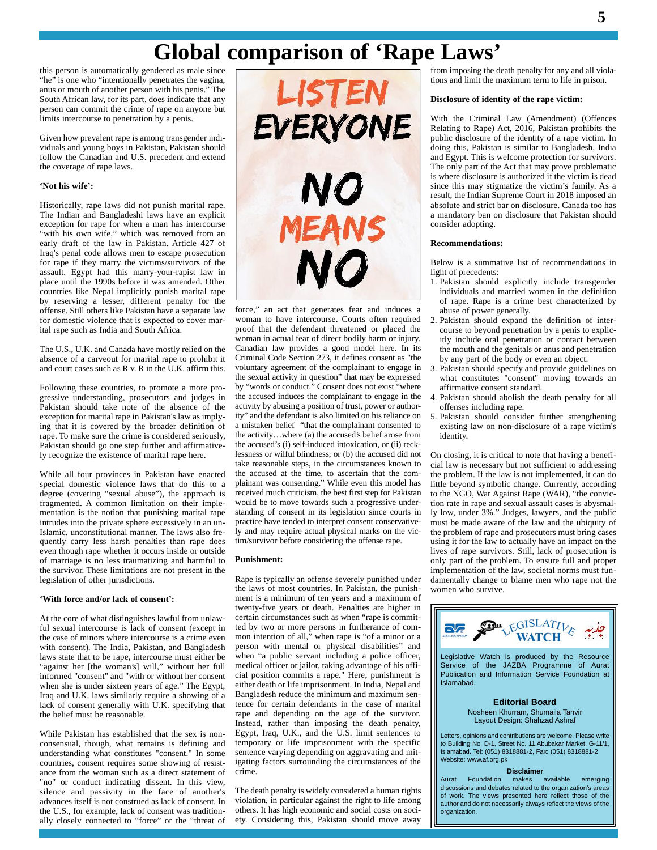### **Global comparison of 'Rape Laws'**

this person is automatically gendered as male since "he" is one who "intentionally penetrates the vagina, anus or mouth of another person with his penis." The South African law, for its part, does indicate that any person can commit the crime of rape on anyone but limits intercourse to penetration by a penis.

Given how prevalent rape is among transgender indi viduals and young boys in Pakistan, Pakistan should follow the Canadian and U.S. precedent and extend the coverage of rape laws.

#### **'Not his wife':**

Historically, rape laws did not punish marital rape. The Indian and Bangladeshi laws have an explicit exception for rape for when a man has intercourse "with his own wife," which was removed from an early draft of the law in Pakistan. Article 427 of Iraq's penal code allows men to escape prosecution for rape if they marry the victims/survivors of the assault. Egypt had this marry-your-rapist law in place until the 1990s before it was amended. Other countries like Nepal implicitly punish marital rape by reserving a lesser, different penalty for the offense. Still others like Pakistan have a separate law for domestic violence that is expected to cover marital rape such as India and South Africa.

The U.S., U.K. and Canada have mostly relied on the absence of a carveout for marital rape to prohibit it and court cases such as  $R$  v.  $R$  in the  $\overline{U}$ .K. affirm this.

Following these countries, to promote a more pro gressive understanding, prosecutors and judges in Pakistan should take note of the absence of the exception for marital rape in Pakistan's law as implying that it is covered by the broader definition of rape. To make sure the crime is considered seriously, Pakistan should go one step further and affirmatively recognize the existence of marital rape here.

While all four provinces in Pakistan have enacted special domestic violence laws that do this to a degree (covering "sexual abuse"), the approach is fragmented. A common limitation on their imple mentation is the notion that punishing marital rape intrudes into the private sphere excessively in an un-Islamic, unconstitutional manner. The laws also fre quently carry less harsh penalties than rape does even though rape whether it occurs inside or outside of marriage is no less traumatizing and harmful to the survivor. These limitations are not present in the legislation of other jurisdictions.

#### **'With force and/or lack of consent':**

At the core of what distinguishes lawful from unlawful sexual intercourse is lack of consent (except in the case of minors where intercourse is a crime even with consent). The India, Pakistan, and Bangladesh laws state that to be rape, intercourse must either be "against her [the woman's] will," without her full informed "consent" and "with or without her consent when she is under sixteen years of age." The Egypt, Iraq and U.K. laws similarly require a showing of a lack of consent generally with U.K. specifying that the belief must be reasonable.

While Pakistan has established that the sex is non consensual, though, what remains is defining and understanding what constitutes "consent." In some countries, consent requires some showing of resist ance from the woman such as a direct statement of "no" or conduct indicating dissent. In this view, silence and passivity in the face of another's advances itself is not construed as lack of consent. In the U.S., for example, lack of consent was tradition ally closely connected to "force" or the "threat of



force," an act that generates fear and induces a woman to have intercourse. Courts often required proof that the defendant threatened or placed the woman in actual fear of direct bodily harm or injury. Canadian law provides a good model here. In its Criminal Code Section 273, it defines consent as "the voluntary agreement of the complainant to engage in the sexual activity in question" that may be expressed by "words or conduct." Consent does not exist "where the accused induces the complainant to engage in the activity by abusing a position of trust, power or authority" and the defendant is also limited on his reliance on a mistaken belief "that the complainant consented to the activity…where (a) the accused's belief arose from the accused's (i) self-induced intoxication, or (ii) recklessness or wilful blindness; or (b) the accused did not take reasonable steps, in the circumstances known to the accused at the time, to ascertain that the com plainant was consenting." While even this model has received much criticism, the best first step for Pakistan would be to move towards such a progressive under standing of consent in its legislation since courts in practice have tended to interpret consent conservatively and may require actual physical marks on the victim/survivor before considering the offense rape.

#### **Punishment:**

Rape is typically an offense severely punished under the laws of most countries. In Pakistan, the punish ment is a minimum of ten years and a maximum of twenty-five years or death. Penalties are higher in certain circumstances such as when "rape is committed by two or more persons in furtherance of com extrain encurristances such as when Tape is community to community that the set of a minor or a minor or a minor or a minor or a minor or a minor or a minor or a minor or a minor or a minor or a minor or a minor or a mino person with mental or physical disabilities" and when "a public servant including a police officer, medical officer or jailor, taking advantage of his offi cial position commits a rape." Here, punishment is either death or life imprisonment. In India, Nepal and Bangladesh reduce the minimum and maximum sentence for certain defendants in the case of marital rape and depending on the age of the survivor. Instead, rather than imposing the death penalty, Egypt, Iraq, U.K., and the U.S. limit sentences to temporary or life imprisonment with the specific sentence varying depending on aggravating and mitigating factors surrounding the circumstances of the crime.

The death penalty is widely considered a human rights violation, in particular against the right to life among others. It has high economic and social costs on soci ety. Considering this, Pakistan should move away from imposing the death penalty for any and all violations and limit the maximum term to life in prison.

#### **Disclosure of identity of the rape victim:**

With the Criminal Law (Amendment) (Offences Relating to Rape) Act, 2016, Pakistan prohibits the public disclosure of the identity of a rape victim. In doing this, Pakistan is similar to Bangladesh, India and Egypt. This is welcome protection for survivors. The only part of the Act that may prove problematic is where disclosure is authorized if the victim is dead since this may stigmatize the victim's family. As a result, the Indian Supreme Court in 2018 imposed an absolute and strict bar on disclosure. Canada too has a mandatory ban on disclosure that Pakistan should consider adopting.

#### **Recommendations:**

Below is a summative list of recommendations in light of precedents:

- 1. Pakistan should explicitly include transgender individuals and married women in the definition of rape. Rape is a crime best characterized by abuse of power generally.
- 2. Pakistan should expand the definition of inter course to beyond penetration by a penis to explicitly include oral penetration or contact between the mouth and the genitals or anus and penetration by any part of the body or even an object.
- 3. Pakistan should specify and provide guidelines on what constitutes "consent" moving towards an affirmative consent standard.
- 4. Pakistan should abolish the death penalty for all offenses including rape.
- 5. Pakistan should consider further strengthening existing law on non-disclosure of a rape victim's identity.

On closing, it is critical to note that having a benefi cial law is necessary but not sufficient to addressing the problem. If the law is not implemented, it can do little beyond symbolic change. Currently, according to the NGO, War Against Rape (WAR), "the conviction rate in rape and sexual assault cases is abysmally low, under 3%." Judges, lawyers, and the public must be made aware of the law and the ubiquity of the problem of rape and prosecutors must bring cases using it for the law to actually have an impact on the lives of rape survivors. Still, lack of prosecution is only part of the problem. To ensure full and proper implementation of the law, societal norms must fundamentally change to blame men who rape not the women who survive.



Legislative Watch is produced by the Resource Service of the JAZBA Programme of Aurat Publication and Information Service Foundation at Islamabad.

> **Editorial Board** Nosheen Khurram, Shumaila Tanvir Layout Design: Shahzad Ashraf

Letters, opinions and contributions are welcome. Please write to Building No. D-1, Street No. 11,Abubakar Market, G-11/1, Islamabad. Tel: (051) 8318881-2, Fax: (051) 8318881-2 Website: www.af.org.pk

#### **Disclaimer**

Aurat Foundation makes available emerging discussions and debates related to the organization's areas of work. The views presented here reflect those of the author and do not necessarily always reflect the views of the organization.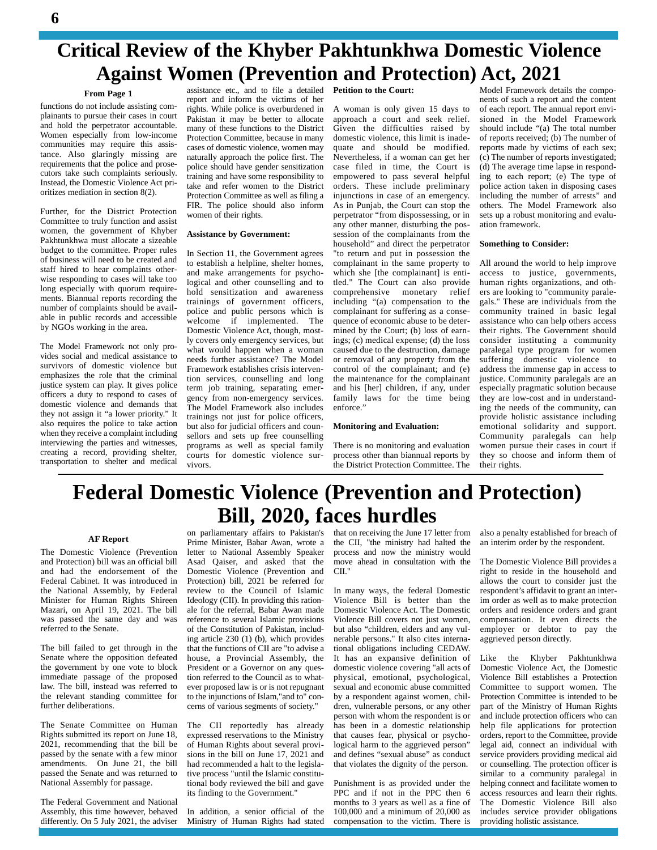### **Critical Review of the Khyber Pakhtunkhwa Domestic Violence Against Women (Prevention and Protection) Act, 2021**

### **From Page 1**

functions do not include assisting com plainants to pursue their cases in court and hold the perpetrator accountable. Women especially from low-income communities may require this assistance. Also glaringly missing are requirements that the police and prose cutors take such complaints seriously. Instead, the Domestic Violence Act pri oritizes mediation in section 8(2).

Further, for the District Protection Committee to truly function and assist women, the government of Khyber Pakhtunkhwa must allocate a sizeable budget to the committee. Proper rules of business will need to be created and staff hired to hear complaints other wise responding to cases will take too long especially with quorum require ments. Biannual reports recording the number of complaints should be avail able in public records and accessible by NGOs working in the area.

The Model Framework not only pro vides social and medical assistance to survivors of domestic violence but emphasizes the role that the criminal justice system can play. It gives police officers a duty to respond to cases of domestic violence and demands that they not assign it "a lower priority." It also requires the police to take action when they receive a complaint including interviewing the parties and witnesses, creating a record, providing shelter, transportation to shelter and medical

assistance etc., and to file a detailed **Petition to the Court:** report and inform the victims of her rights. While police is overburdened in Pakistan it may be better to allocate many of these functions to the District Protection Committee, because in many cases of domestic violence, women may naturally approach the police first. The police should have gender sensitization training and have some responsibility to take and refer women to the District Protection Committee as well as filing a FIR. The police should also inform women of their rights.

#### **Assistance by Government:**

In Section 11, the Government agrees to establish a helpline, shelter homes, and make arrangements for psychological and other counselling and to hold sensitization and awareness trainings of government officers, police and public persons which is welcome if implemented. The Domestic Violence Act, though, mostly covers only emergency services, but what would happen when a woman needs further assistance? The Model Framework establishes crisis intervention services, counselling and long term job training, separating emer gency from non-emergency services. The Model Framework also includes trainings not just for police officers, but also for judicial officers and coun sellors and sets up free counselling programs as well as special family courts for domestic violence sur vivors.

A woman is only given 15 days to approach a court and seek relief. Given the difficulties raised by domestic violence, this limit is inade quate and should be modified. Nevertheless, if a woman can get her case filed in time, the Court is empowered to pass several helpful orders. These include preliminary injunctions in case of an emergency. As in Punjab, the Court can stop the perpetrator "from dispossessing, or in any other manner, disturbing the pos session of the complainants from the household" and direct the perpetrator "to return and put in possession the complainant in the same property to which she [the complainant] is entitled." The Court can also provide comprehensive monetary relief including "(a) compensation to the complainant for suffering as a conse quence of economic abuse to be deter mined by the Court; (b) loss of earnings; (c) medical expense; (d) the loss caused due to the destruction, damage or removal of any property from the control of the complainant; and (e) the maintenance for the complainant and his [her] children, if any, under family laws for the time being enforce."

#### **Monitoring and Evaluation:**

There is no monitoring and evaluation process other than biannual reports by the District Protection Committee. The

Model Framework details the compo nents of such a report and the content of each report. The annual report envi sioned in the Model Framework should include "(a) The total number of reports received; (b) The number of reports made by victims of each sex; (c) The number of reports investigated; (d) The average time lapse in responding to each report; (e) The type of police action taken in disposing cases including the number of arrests" and others. The Model Framework also sets up a robust monitoring and evalu ation framework.

#### **Something to Consider:**

All around the world to help improve access to justice, governments, human rights organizations, and oth ers are looking to "community parale gals." These are individuals from the community trained in basic legal assistance who can help others access their rights. The Government should consider instituting a community paralegal type program for women suffering domestic violence to address the immense gap in access to justice. Community paralegals are an especially pragmatic solution because they are low-cost and in understanding the needs of the community, can provide holistic assistance including emotional solidarity and support. Community paralegals can help women pursue their cases in court if they so choose and inform them of their rights.

### **Federal Domestic Violence (Prevention and Protection) Bill, 2020, faces hurdles**

#### **AF Report**

The Domestic Violence (Prevention and Protection) bill was an official bill and had the endorsement of the Federal Cabinet. It was introduced in the National Assembly, by Federal Minister for Human Rights Shireen Mazari, on April 19, 2021. The bill was passed the same day and was referred to the Senate.

The bill failed to get through in the Senate where the opposition defeated the government by one vote to block immediate passage of the proposed law. The bill, instead was referred to the relevant standing committee for further deliberations.

The Senate Committee on Human Rights submitted its report on June 18, 2021, recommending that the bill be passed by the senate with a few minor amendments. On June 21, the bill passed the Senate and was returned to National Assembly for passage.

The Federal Government and National Assembly, this time however, behaved differently. On 5 July 2021, the adviser

on parliamentary affairs to Pakistan's Prime Minister, Babar Awan, wrote a letter to National Assembly Speaker Asad Qaiser, and asked that the Domestic Violence (Prevention and Protection) bill, 2021 be referred for review to the Council of Islamic Ideology (CII). In providing this ration ale for the referral, Babar Awan made reference to several Islamic provisions of the Constitution of Pakistan, including article 230 (1) (b), which provides that the functions of CII are "to advise a house, a Provincial Assembly, the President or a Governor on any question referred to the Council as to what ever proposed law is or is not repugnant to the injunctions of Islam,"and to" con cerns of various segments of society."

The CII reportedly has already expressed reservations to the Ministry of Human Rights about several provi sions in the bill on June 17, 2021 and had recommended a halt to the legislative process "until the Islamic constitutional body reviewed the bill and gave its finding to the Government."

In addition, a senior official of the Ministry of Human Rights had stated that on receiving the June 17 letter from the CII, "the ministry had halted the process and now the ministry would move ahead in consultation with the  $CH<sup>2</sup>$ 

In many ways, the federal Domestic Violence Bill is better than the Domestic Violence Act. The Domestic Violence Bill covers not just women, but also "children, elders and any vul nerable persons." It also cites international obligations including CEDAW. It has an expansive definition of domestic violence covering "all acts of physical, emotional, psychological, sexual and economic abuse committed by a respondent against women, chil dren, vulnerable persons, or any other person with whom the respondent is or has been in a domestic relationship that causes fear, physical or psychological harm to the aggrieved person" and defines "sexual abuse" as conduct that violates the dignity of the person.

Punishment is as provided under the PPC and if not in the PPC then 6 months to 3 years as well as a fine of 100,000 and a minimum of 20,000 as compensation to the victim. There is

also a penalty established for breach of an interim order by the respondent.

The Domestic Violence Bill provides a right to reside in the household and allows the court to consider just the respondent's affidavit to grant an interim order as well as to make protection orders and residence orders and grant compensation. It even directs the employer or debtor to pay the aggrieved person directly.

Like the Khyber Pakhtunkhwa Domestic Violence Act, the Domestic Violence Bill establishes a Protection Committee to support women. The Protection Committee is intended to be part of the Ministry of Human Rights and include protection officers who can help file applications for protection orders, report to the Committee, provide legal aid, connect an individual with service providers providing medical aid or counselling. The protection officer is similar to a community paralegal in helping connect and facilitate women to access resources and learn their rights. The Domestic Violence Bill also includes service provider obligations providing holistic assistance.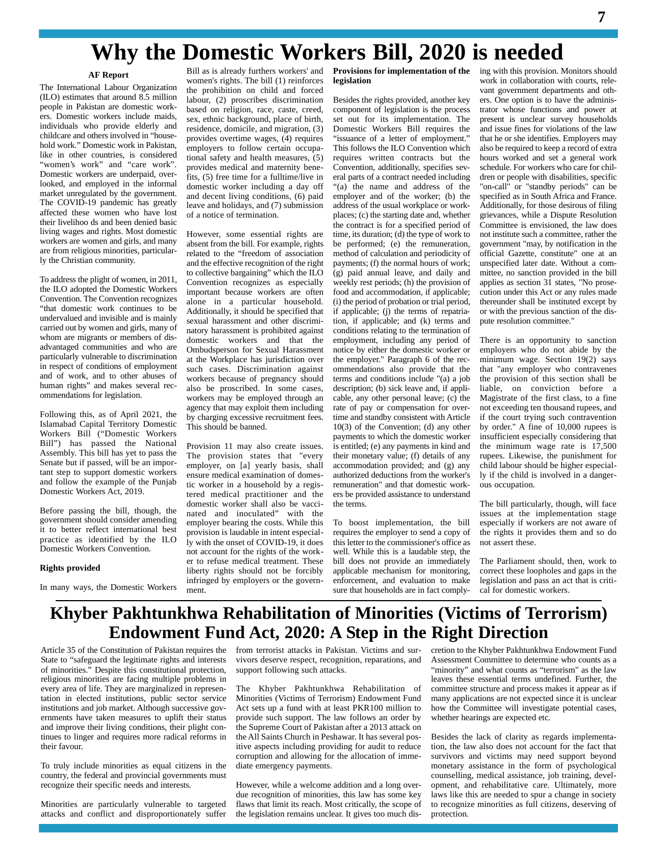### **Why the Domestic Workers Bill, 2020 is needed**

#### **AF Report**

The International Labour Organization (ILO) estimates that around 8.5 million people in Pakistan are domestic work ers. Domestic workers include maids, individuals who provide elderly and childcare and others involved in "house hold work." Domestic work in Pakistan, like in other countries, is considered "women's work" and "care work". Domestic workers are underpaid, overlooked, and employed in the informal market unregulated by the government. The COVID-19 pandemic has greatly affected these women who have lost their livelihoo ds and been denied basic living wages and rights. Most domestic workers are women and girls, and many are from religious minorities, particularly the Christian community.

To address the plight of women, in 2011, the ILO adopted the Domestic Workers Convention. The Convention recognizes "that domestic work continues to be undervalued and invisible and is mainly carried out by women and girls, many of whom are migrants or members of dis advantaged communities and who are particularly vulnerable to discrimination in respect of conditions of employment and of work, and to other abuses of human rights" and makes several rec ommendations for legislation.

Following this, as of April 2021, the Islamabad Capital Territory Domestic Workers Bill ("Domestic Workers Bill") has passed the National Assembly. This bill has yet to pass the Senate but if passed, will be an important step to support domestic workers and follow the example of the Punjab Domestic Workers Act, 2019.

Before passing the bill, though, the government should consider amending it to better reflect international best practice as identified by the ILO Domestic Workers Convention.

#### **Rights provided**

In many ways, the Domestic Workers

Bill as is already furthers workers' and women's rights. The bill (1) reinforces the prohibition on child and forced labour, (2) proscribes discrimination based on religion, race, caste, creed, sex, ethnic background, place of birth, residence, domicile, and migration, (3) provides overtime wages, (4) requires employers to follow certain occupational safety and health measures, (5) provides medical and maternity benefits, (5) free time for a fulltime/live in domestic worker including a day off and decent living conditions, (6) paid leave and holidays, and (7) submission of a notice of termination.

However, some essential rights are absent from the bill. For example, rights related to the "freedom of association and the effective recognition of the right to collective bargaining" which the ILO Convention recognizes as especially important because workers are often alone in a particular household. Additionally, it should be specified that sexual harassment and other discrimi natory harassment is prohibited against domestic workers and that the Ombudsperson for Sexual Harassment at the Workplace has jurisdiction over such cases. Discrimination against workers because of pregnancy should also be proscribed. In some cases, workers may be employed through an agency that may exploit them including by charging excessive recruitment fees. This should be banned.

Provision 11 may also create issues. The provision states that "every employer, on [a] yearly basis, shall ensure medical examination of domestic worker in a household by a registered medical practitioner and the domestic worker shall also be vacci nated and inoculated" with the employer bearing the costs. While this provision is laudable in intent especially with the onset of COVID-19, it does not account for the rights of the work er to refuse medical treatment. These liberty rights should not be forcibly infringed by employers or the govern ment.

**Provisions for implementation of the legislation**

Besides the rights provided, another key component of legislation is the process set out for its implementation. The Domestic Workers Bill requires the "issuance of a letter of employment." This follows the ILO Convention which requires written contracts but the Convention, additionally, specifies sev eral parts of a contract needed including "(a) the name and address of the employer and of the worker; (b) the address of the usual workplace or work places; (c) the starting date and, whether the contract is for a specified period of time, its duration; (d) the type of work to be performed; (e) the remuneration, method of calculation and periodicity of payments; (f) the normal hours of work; (g) paid annual leave, and daily and weekly rest periods; (h) the provision of food and accommodation, if applicable; (i) the period of probation or trial period, if applicable; (j) the terms of repatriation, if applicable; and (k) terms and conditions relating to the termination of employment, including any period of notice by either the domestic worker or the employer." Paragraph 6 of the rec ommendations also provide that the terms and conditions include "(a) a job description; (b) sick leave and, if appli cable, any other personal leave; (c) the rate of pay or compensation for overtime and standby consistent with Article 10(3) of the Convention; (d) any other payments to which the domestic worker is entitled; (e) any payments in kind and their monetary value; (f) details of any accommodation provided; and (g) any authorized deductions from the worker's remuneration" and that domestic work ers be provided assistance to understand the terms.

To boost implementation, the bill requires the employer to send a copy of this letter to the commissioner's office as well. While this is a laudable step, the bill does not provide an immediately applicable mechanism for monitoring, enforcement, and evaluation to make sure that households are in fact complying with this provision. Monitors should work in collaboration with courts, rele vant government departments and oth ers. One option is to have the administrator whose functions and power at present is unclear survey households and issue fines for violations of the law that he or she identifies. Employers may also be required to keep a record of extra hours worked and set a general work schedule. For workers who care for chil dren or people with disabilities, specific "on-call" or "standby periods" can be specified as in South Africa and France. Additionally, for those desirous of filing grievances, while a Dispute Resolution Committee is envisioned, the law does not institute such a committee, rather the government "may, by notification in the official Gazette, constitute" one at an unspecified later date. Without a com mittee, no sanction provided in the bill applies as section 31 states, "No prose cution under this Act or any rules made thereunder shall be instituted except by or with the previous sanction of the dis pute resolution committee."

There is an opportunity to sanction employers who do not abide by the minimum wage. Section 19(2) says that "any employer who contravenes the provision of this section shall be liable, on conviction before a Magistrate of the first class, to a fine not exceeding ten thousand rupees, and if the court trying such contravention by order." A fine of 10,000 rupees is insufficient especially considering that the minimum wage rate is 17,500 rupees. Likewise, the punishment for child labour should be higher especially if the child is involved in a danger ous occupation.

The bill particularly, though, will face issues at the implementation stage especially if workers are not aware of the rights it provides them and so do not assert these.

The Parliament should, then, work to correct these loopholes and gaps in the legislation and pass an act that is criti cal for domestic workers.

### **Khyber Pakhtunkhwa Rehabilitation of Minorities (Victims of Terrorism) Endowment Fund Act, 2020: A Step in the Right Direction**

Article 35 of the Constitution of Pakistan requires the State to "safeguard the legitimate rights and interests of minorities." Despite this constitutional protection, religious minorities are facing multiple problems in every area of life. They are marginalized in representation in elected institutions, public sector service institutions and job market. Although successive gov ernments have taken measures to uplift their status and improve their living conditions, their plight continues to linger and requires more radical reforms in their favour.

To truly include minorities as equal citizens in the country, the federal and provincial governments must recognize their specific needs and interests.

Minorities are particularly vulnerable to targeted attacks and conflict and disproportionately suffer from terrorist attacks in Pakistan. Victims and sur vivors deserve respect, recognition, reparations, and support following such attacks.

The Khyber Pakhtunkhwa Rehabilitation of Minorities (Victims of Terrorism) Endowment Fund Act sets up a fund with at least PKR100 million to provide such support. The law follows an order by the Supreme Court of Pakistan after a 2013 attack on the All Saints Church in Peshawar. It has several positive aspects including providing for audit to reduce corruption and allowing for the allocation of imme diate emergency payments.

However, while a welcome addition and a long over due recognition of minorities, this law has some key flaws that limit its reach. Most critically, the scope of the legislation remains unclear. It gives too much discretion to the Khyber Pakhtunkhwa Endowment Fund Assessment Committee to determine who counts as a "minority" and what counts as "terrorism" as the law leaves these essential terms undefined. Further, the committee structure and process makes it appear as if many applications are not expected since it is unclear how the Committee will investigate potential cases, whether hearings are expected etc.

Besides the lack of clarity as regards implementation, the law also does not account for the fact that survivors and victims may need support beyond monetary assistance in the form of psychological counselling, medical assistance, job training, devel opment, and rehabilitative care. Ultimately, more laws like this are needed to spur a change in society to recognize minorities as full citizens, deserving of protection.